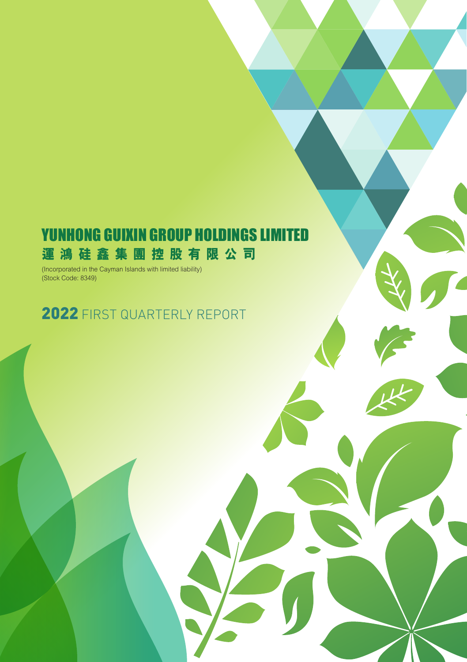# YUNHONG GUIXIN GROUP HOLDINGS LIMITED **運鴻硅鑫集團控股有限公司**

(Incorporated in the Cayman Islands with limited liability) (Stock Code: 8349)

# 2022 FIRST QUARTERLY REPORT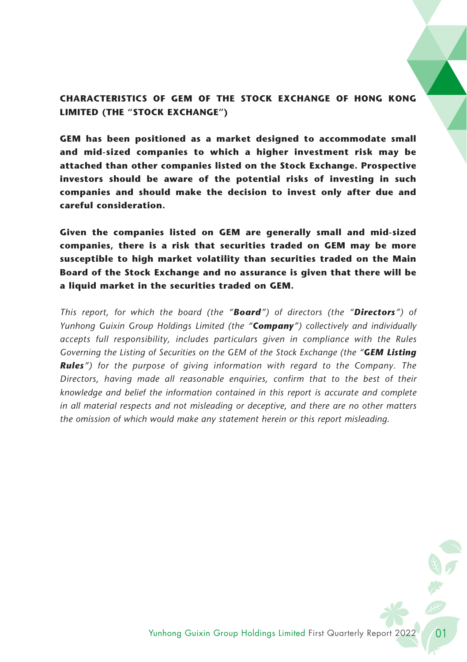# **CHARACTERISTICS OF GEM OF THE STOCK EXCHANGE OF HONG KONG LIMITED (THE "STOCK EXCHANGE")**

**GEM has been positioned as a market designed to accommodate small and mid-sized companies to which a higher investment risk may be attached than other companies listed on the Stock Exchange. Prospective investors should be aware of the potential risks of investing in such companies and should make the decision to invest only after due and careful consideration.**

**Given the companies listed on GEM are generally small and mid-sized companies, there is a risk that securities traded on GEM may be more susceptible to high market volatility than securities traded on the Main Board of the Stock Exchange and no assurance is given that there will be a liquid market in the securities traded on GEM.**

*This report, for which the board (the "Board") of directors (the "Directors") of Yunhong Guixin Group Holdings Limited (the "Company") collectively and individually accepts full responsibility, includes particulars given in compliance with the Rules Governing the Listing of Securities on the GEM of the Stock Exchange (the "GEM Listing Rules") for the purpose of giving information with regard to the Company. The Directors, having made all reasonable enquiries, confirm that to the best of their knowledge and belief the information contained in this report is accurate and complete in all material respects and not misleading or deceptive, and there are no other matters the omission of which would make any statement herein or this report misleading.*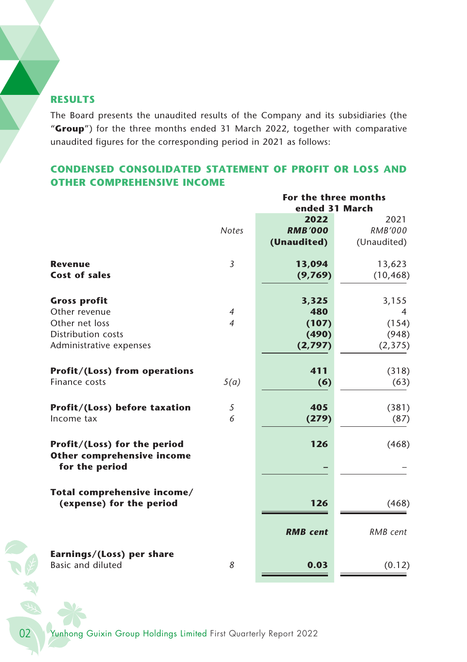# **RESULTS**

The Board presents the unaudited results of the Company and its subsidiaries (the "**Group**") for the three months ended 31 March 2022, together with comparative unaudited figures for the corresponding period in 2021 as follows:

# **CONDENSED CONSOLIDATED STATEMENT OF PROFIT OR LOSS AND OTHER COMPREHENSIVE INCOME**

|                                                                   |                | For the three months<br>ended 31 March |             |  |
|-------------------------------------------------------------------|----------------|----------------------------------------|-------------|--|
|                                                                   |                | 2022                                   | 2021        |  |
|                                                                   | <b>Notes</b>   | <b>RMB'000</b>                         | RMB'000     |  |
|                                                                   |                | (Unaudited)                            | (Unaudited) |  |
| <b>Revenue</b>                                                    | 3              | 13,094                                 | 13,623      |  |
| <b>Cost of sales</b>                                              |                | (9,769)                                | (10, 468)   |  |
| <b>Gross profit</b>                                               |                | 3,325                                  | 3,155       |  |
| Other revenue                                                     | $\overline{4}$ | 480                                    | 4           |  |
| Other net loss                                                    | $\overline{4}$ | (107)                                  | (154)       |  |
| <b>Distribution costs</b>                                         |                | (490)                                  | (948)       |  |
| Administrative expenses                                           |                | (2,797)                                | (2, 375)    |  |
| <b>Profit/(Loss) from operations</b>                              |                | 411                                    | (318)       |  |
| Finance costs                                                     | 5(a)           | (6)                                    | (63)        |  |
| Profit/(Loss) before taxation                                     | 5              | 405                                    | (381)       |  |
| Income tax                                                        | 6              | (279)                                  | (87)        |  |
| Profit/(Loss) for the period<br><b>Other comprehensive income</b> |                | 126                                    | (468)       |  |
| for the period                                                    |                |                                        |             |  |
| Total comprehensive income/                                       |                |                                        |             |  |
| (expense) for the period                                          |                | 126                                    | (468)       |  |
|                                                                   |                | <b>RMB</b> cent                        | RMB cent    |  |
| Earnings/(Loss) per share<br><b>Basic and diluted</b>             | 8              | 0.03                                   | (0.12)      |  |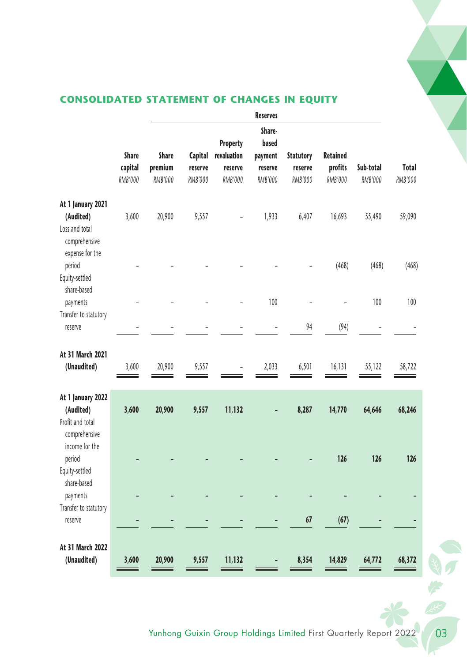

# **CONSOLIDATED STATEMENT OF CHANGES IN EQUITY**

|                                                                     |                                    |                             |                               |                                               | <b>Reserves</b>                                  |                                        |                                              |                      |                  |
|---------------------------------------------------------------------|------------------------------------|-----------------------------|-------------------------------|-----------------------------------------------|--------------------------------------------------|----------------------------------------|----------------------------------------------|----------------------|------------------|
|                                                                     | <b>Share</b><br>capital<br>RMB'000 | Share<br>premium<br>RMB'000 | Capital<br>reserve<br>RMB'000 | Property<br>revaluation<br>reserve<br>RMB'000 | Share-<br>based<br>payment<br>reserve<br>RMB'000 | <b>Statutory</b><br>reserve<br>RMB'000 | <b>Retained</b><br>profits<br><b>RMB'000</b> | Sub-total<br>RMB'000 | Total<br>RMB'000 |
| At 1 January 2021                                                   |                                    |                             |                               |                                               |                                                  |                                        |                                              |                      |                  |
| (Audited)<br>Loss and total<br>comprehensive<br>expense for the     | 3,600                              | 20,900                      | 9,557                         |                                               | 1,933                                            | 6,407                                  | 16,693                                       | 55,490               | 59,090           |
| period                                                              |                                    |                             |                               |                                               |                                                  |                                        | (468)                                        | (468)                | (468)            |
| Equity-settled<br>share-based                                       |                                    |                             |                               |                                               |                                                  |                                        |                                              |                      |                  |
| payments                                                            |                                    |                             |                               |                                               | 100                                              |                                        |                                              | 100                  | 100              |
| Transfer to statutory<br>reserve                                    |                                    |                             |                               |                                               |                                                  | 94                                     | (94)                                         |                      |                  |
| At 31 March 2021<br>(Unaudited)                                     | 3,600                              | 20,900                      | 9,557                         |                                               | 2,033                                            | 6,501                                  | 16,131                                       | 55,122               | 58,722           |
| At 1 January 2022<br>(Audited)<br>Profit and total<br>comprehensive | 3,600                              | 20,900                      | 9,557                         | 11,132                                        |                                                  | 8,287                                  | 14,770                                       | 64,646               | 68,246           |
| income for the<br>period<br>Equity-settled                          |                                    |                             |                               |                                               |                                                  |                                        | 126                                          | 126                  | 126              |
| share-based<br>payments                                             |                                    |                             |                               |                                               |                                                  |                                        |                                              |                      |                  |
| Transfer to statutory<br>reserve                                    |                                    |                             |                               |                                               |                                                  | 67                                     | (67)                                         |                      |                  |
| At 31 March 2022<br>(Unaudited)                                     | 3,600                              | 20,900                      | 9,557                         | 11,132                                        |                                                  | 8,354                                  | 14,829                                       | 64,772               | 68,372           |

\*

いけい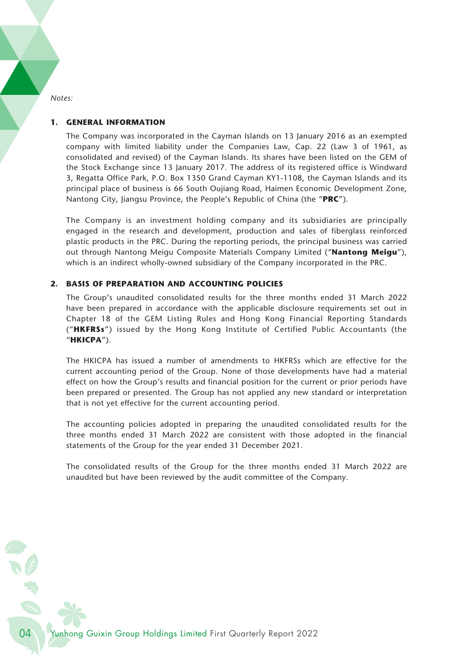*Notes:*

#### **1. GENERAL INFORMATION**

The Company was incorporated in the Cayman Islands on 13 January 2016 as an exempted company with limited liability under the Companies Law, Cap. 22 (Law 3 of 1961, as consolidated and revised) of the Cayman Islands. Its shares have been listed on the GEM of the Stock Exchange since 13 January 2017. The address of its registered office is Windward 3, Regatta Office Park, P.O. Box 1350 Grand Cayman KY1-1108, the Cayman Islands and its principal place of business is 66 South Oujiang Road, Haimen Economic Development Zone, Nantong City, Jiangsu Province, the People's Republic of China (the "**PRC**").

The Company is an investment holding company and its subsidiaries are principally engaged in the research and development, production and sales of fiberglass reinforced plastic products in the PRC. During the reporting periods, the principal business was carried out through Nantong Meigu Composite Materials Company Limited ("**Nantong Meigu**"), which is an indirect wholly-owned subsidiary of the Company incorporated in the PRC.

#### **2. BASIS OF PREPARATION AND ACCOUNTING POLICIES**

The Group's unaudited consolidated results for the three months ended 31 March 2022 have been prepared in accordance with the applicable disclosure requirements set out in Chapter 18 of the GEM Listing Rules and Hong Kong Financial Reporting Standards ("**HKFRSs**") issued by the Hong Kong Institute of Certified Public Accountants (the "**HKICPA**").

The HKICPA has issued a number of amendments to HKFRSs which are effective for the current accounting period of the Group. None of those developments have had a material effect on how the Group's results and financial position for the current or prior periods have been prepared or presented. The Group has not applied any new standard or interpretation that is not yet effective for the current accounting period.

The accounting policies adopted in preparing the unaudited consolidated results for the three months ended 31 March 2022 are consistent with those adopted in the financial statements of the Group for the year ended 31 December 2021.

The consolidated results of the Group for the three months ended 31 March 2022 are unaudited but have been reviewed by the audit committee of the Company.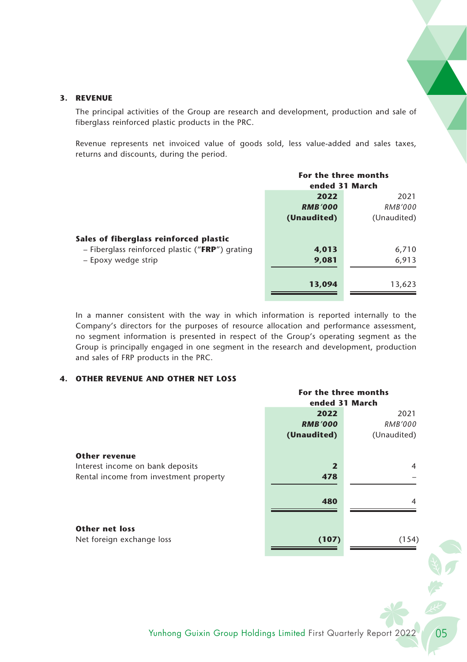#### **3. REVENUE**

The principal activities of the Group are research and development, production and sale of fiberglass reinforced plastic products in the PRC.

Revenue represents net invoiced value of goods sold, less value-added and sales taxes, returns and discounts, during the period.

|                                                   | For the three months |             |
|---------------------------------------------------|----------------------|-------------|
|                                                   | ended 31 March       |             |
|                                                   | 2022                 |             |
|                                                   | <b>RMB'000</b>       | RMB'000     |
|                                                   | (Unaudited)          | (Unaudited) |
| Sales of fiberglass reinforced plastic            |                      |             |
| $-$ Fiberglass reinforced plastic ("FRP") grating | 4,013                | 6,710       |
| - Epoxy wedge strip                               | 9,081                | 6,913       |
|                                                   | 13,094               | 13,623      |

In a manner consistent with the way in which information is reported internally to the Company's directors for the purposes of resource allocation and performance assessment, no segment information is presented in respect of the Group's operating segment as the Group is principally engaged in one segment in the research and development, production and sales of FRP products in the PRC.

#### **4. OTHER REVENUE AND OTHER NET LOSS**

|                                                    |                | For the three months |  |  |
|----------------------------------------------------|----------------|----------------------|--|--|
|                                                    | ended 31 March |                      |  |  |
|                                                    | 2022           | 2021                 |  |  |
|                                                    | <b>RMB'000</b> | RMB'000              |  |  |
|                                                    | (Unaudited)    | (Unaudited)          |  |  |
| <b>Other revenue</b>                               |                |                      |  |  |
| Interest income on bank deposits                   | $\overline{2}$ | 4                    |  |  |
| Rental income from investment property             | 478            |                      |  |  |
|                                                    | 480            | 4                    |  |  |
| <b>Other net loss</b><br>Net foreign exchange loss |                | (154)                |  |  |
|                                                    | (107)          |                      |  |  |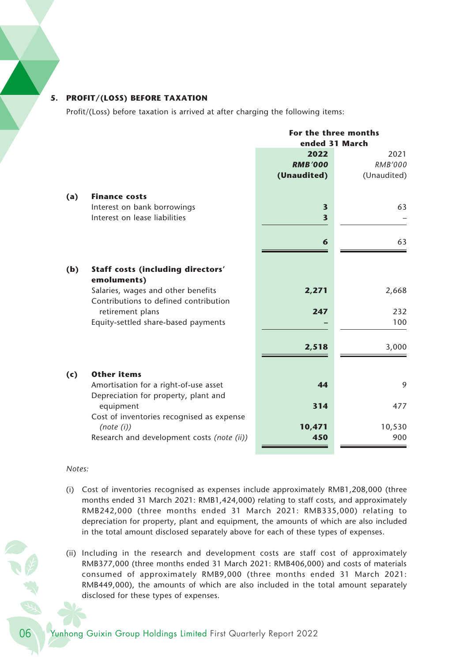#### **5. PROFIT/(LOSS) BEFORE TAXATION**

Profit/(Loss) before taxation is arrived at after charging the following items:

|     |                                                                             |                         | For the three months<br>ended 31 March |
|-----|-----------------------------------------------------------------------------|-------------------------|----------------------------------------|
|     |                                                                             | 2022                    | 2021                                   |
|     |                                                                             | <b>RMB'000</b>          | RMB'000                                |
|     |                                                                             | (Unaudited)             | (Unaudited)                            |
| (a) | <b>Finance costs</b>                                                        |                         |                                        |
|     | Interest on bank borrowings                                                 | 3                       | 63                                     |
|     | Interest on lease liabilities                                               | $\overline{\mathbf{3}}$ |                                        |
|     |                                                                             | 6                       | 63                                     |
| (b) | Staff costs (including directors'                                           |                         |                                        |
|     | emoluments)                                                                 |                         |                                        |
|     | Salaries, wages and other benefits<br>Contributions to defined contribution | 2,271                   | 2,668                                  |
|     | retirement plans                                                            | 247                     | 232                                    |
|     | Equity-settled share-based payments                                         |                         | 100                                    |
|     |                                                                             |                         |                                        |
|     |                                                                             | 2,518                   | 3,000                                  |
| (c) | <b>Other items</b>                                                          |                         |                                        |
|     | Amortisation for a right-of-use asset                                       | 44                      | 9                                      |
|     | Depreciation for property, plant and                                        |                         |                                        |
|     | equipment                                                                   | 314                     | 477                                    |
|     | Cost of inventories recognised as expense                                   |                         |                                        |
|     | (note (i))                                                                  | 10,471<br>450           | 10,530<br>900                          |
|     | Research and development costs (note (ii))                                  |                         |                                        |

#### *Notes:*

- (i) Cost of inventories recognised as expenses include approximately RMB1,208,000 (three months ended 31 March 2021: RMB1,424,000) relating to staff costs, and approximately RMB242,000 (three months ended 31 March 2021: RMB335,000) relating to depreciation for property, plant and equipment, the amounts of which are also included in the total amount disclosed separately above for each of these types of expenses.
- (ii) Including in the research and development costs are staff cost of approximately RMB377,000 (three months ended 31 March 2021: RMB406,000) and costs of materials consumed of approximately RMB9,000 (three months ended 31 March 2021: RMB449,000), the amounts of which are also included in the total amount separately disclosed for these types of expenses.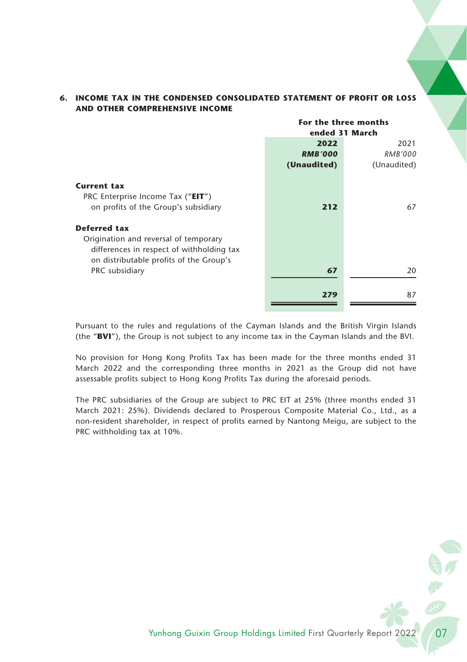|                                           | For the three months |             |  |
|-------------------------------------------|----------------------|-------------|--|
|                                           | ended 31 March       |             |  |
|                                           | 2022                 | 2021        |  |
|                                           | <b>RMB'000</b>       | RMB'000     |  |
|                                           | (Unaudited)          | (Unaudited) |  |
| <b>Current tax</b>                        |                      |             |  |
| PRC Enterprise Income Tax ("EIT")         |                      |             |  |
| on profits of the Group's subsidiary      | 212                  | 67          |  |
| Deferred tax                              |                      |             |  |
| Origination and reversal of temporary     |                      |             |  |
| differences in respect of withholding tax |                      |             |  |
| on distributable profits of the Group's   |                      |             |  |
| PRC subsidiary                            | 67                   | 20          |  |
|                                           |                      |             |  |
|                                           | 279                  | 87          |  |

### **6. INCOME TAX IN THE CONDENSED CONSOLIDATED STATEMENT OF PROFIT OR LOSS AND OTHER COMPREHENSIVE INCOME**

Pursuant to the rules and regulations of the Cayman Islands and the British Virgin Islands (the "**BVI**"), the Group is not subject to any income tax in the Cayman Islands and the BVI.

No provision for Hong Kong Profits Tax has been made for the three months ended 31 March 2022 and the corresponding three months in 2021 as the Group did not have assessable profits subject to Hong Kong Profits Tax during the aforesaid periods.

The PRC subsidiaries of the Group are subject to PRC EIT at 25% (three months ended 31 March 2021: 25%). Dividends declared to Prosperous Composite Material Co., Ltd., as a non-resident shareholder, in respect of profits earned by Nantong Meigu, are subject to the PRC withholding tax at 10%.

Yunhong Guixin Group Holdings Limited First Quarterly Report 2022 1997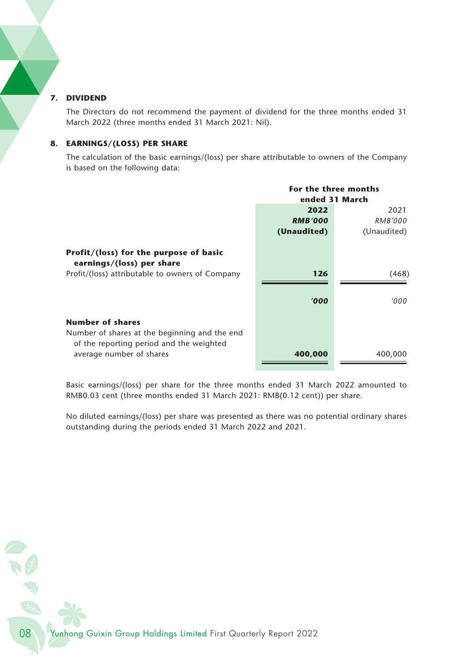#### **7. DIVIDEND**

The Directors do not recommend the payment of dividend for the three months ended 31 March 2022 (three months ended 31 March 2021: Nil).

#### **8. EARNINGS/(LOSS) PER SHARE**

The calculation of the basic earnings/(loss) per share attributable to owners of the Company is based on the following data:

|                                                                                                                      | For the three months |             |
|----------------------------------------------------------------------------------------------------------------------|----------------------|-------------|
|                                                                                                                      | ended 31 March       |             |
|                                                                                                                      | 2022                 | 2021        |
|                                                                                                                      | <b>RMB'000</b>       | RMB'000     |
|                                                                                                                      | (Unaudited)          | (Unaudited) |
| Profit/(loss) for the purpose of basic<br>earnings/(loss) per share                                                  |                      |             |
| Profit/(loss) attributable to owners of Company                                                                      | 126                  | (468)       |
|                                                                                                                      | '000                 | '000        |
| <b>Number of shares</b><br>Number of shares at the beginning and the end<br>of the reporting period and the weighted |                      |             |
| average number of shares                                                                                             | 400,000              | 400,000     |

Basic earnings/(loss) per share for the three months ended 31 March 2022 amounted to RMB0.03 cent (three months ended 31 March 2021: RMB(0.12 cent)) per share.

No diluted earnings/(loss) per share was presented as there was no potential ordinary shares outstanding during the periods ended 31 March 2022 and 2021.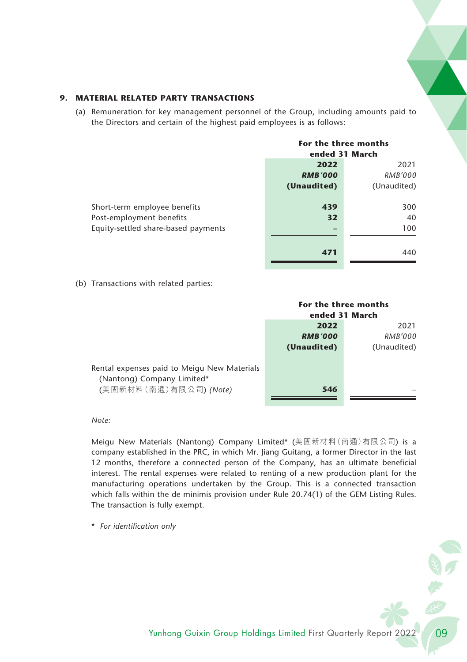#### **9. MATERIAL RELATED PARTY TRANSACTIONS**

(a) Remuneration for key management personnel of the Group, including amounts paid to the Directors and certain of the highest paid employees is as follows:

|                                     | For the three months<br>ended 31 March |             |  |
|-------------------------------------|----------------------------------------|-------------|--|
|                                     |                                        |             |  |
|                                     | 2022                                   |             |  |
|                                     | <b>RMB'000</b>                         | RMB'000     |  |
|                                     | (Unaudited)                            | (Unaudited) |  |
| Short-term employee benefits        | 439                                    | 300         |  |
| Post-employment benefits            | 32                                     | 40          |  |
| Equity-settled share-based payments |                                        | 100         |  |
|                                     | 471                                    | 440         |  |

(b) Transactions with related parties:

|                                                                                                    | For the three months<br>ended 31 March |             |  |
|----------------------------------------------------------------------------------------------------|----------------------------------------|-------------|--|
|                                                                                                    | 2022                                   | 2021        |  |
|                                                                                                    | <b>RMB'000</b>                         | RMB'000     |  |
|                                                                                                    | (Unaudited)                            | (Unaudited) |  |
| Rental expenses paid to Meigu New Materials<br>(Nantong) Company Limited*<br>(美固新材料(南通)有限公司)(Note) | 546                                    |             |  |
|                                                                                                    |                                        |             |  |

*Note:*

Meigu New Materials (Nantong) Company Limited\* (美固新材料(南通)有限公司) is a company established in the PRC, in which Mr. Jiang Guitang, a former Director in the last 12 months, therefore a connected person of the Company, has an ultimate beneficial interest. The rental expenses were related to renting of a new production plant for the manufacturing operations undertaken by the Group. This is a connected transaction which falls within the de minimis provision under Rule 20.74(1) of the GEM Listing Rules. The transaction is fully exempt.

\* *For identification only*

医特色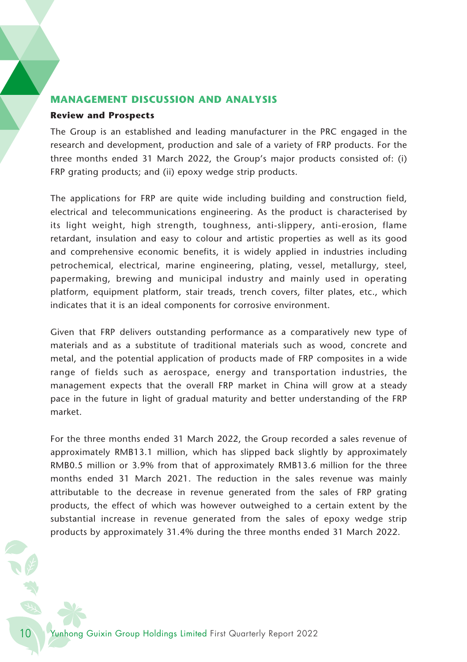## **MANAGEMENT DISCUSSION AND ANALYSIS**

#### **Review and Prospects**

The Group is an established and leading manufacturer in the PRC engaged in the research and development, production and sale of a variety of FRP products. For the three months ended 31 March 2022, the Group's major products consisted of: (i) FRP grating products; and (ii) epoxy wedge strip products.

The applications for FRP are quite wide including building and construction field, electrical and telecommunications engineering. As the product is characterised by its light weight, high strength, toughness, anti-slippery, anti-erosion, flame retardant, insulation and easy to colour and artistic properties as well as its good and comprehensive economic benefits, it is widely applied in industries including petrochemical, electrical, marine engineering, plating, vessel, metallurgy, steel, papermaking, brewing and municipal industry and mainly used in operating platform, equipment platform, stair treads, trench covers, filter plates, etc., which indicates that it is an ideal components for corrosive environment.

Given that FRP delivers outstanding performance as a comparatively new type of materials and as a substitute of traditional materials such as wood, concrete and metal, and the potential application of products made of FRP composites in a wide range of fields such as aerospace, energy and transportation industries, the management expects that the overall FRP market in China will grow at a steady pace in the future in light of gradual maturity and better understanding of the FRP market.

For the three months ended 31 March 2022, the Group recorded a sales revenue of approximately RMB13.1 million, which has slipped back slightly by approximately RMB0.5 million or 3.9% from that of approximately RMB13.6 million for the three months ended 31 March 2021. The reduction in the sales revenue was mainly attributable to the decrease in revenue generated from the sales of FRP grating products, the effect of which was however outweighed to a certain extent by the substantial increase in revenue generated from the sales of epoxy wedge strip products by approximately 31.4% during the three months ended 31 March 2022.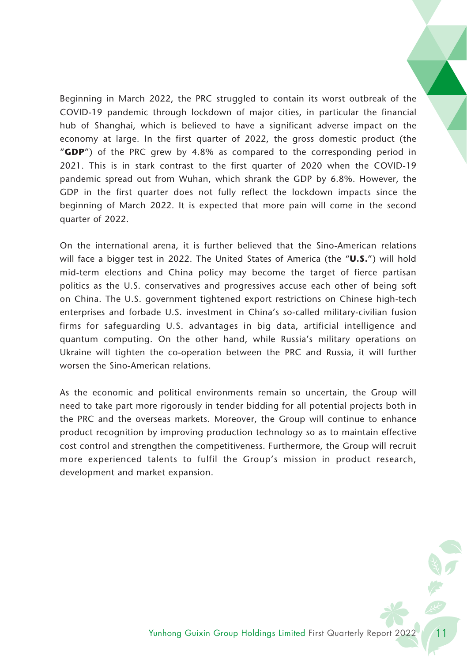Beginning in March 2022, the PRC struggled to contain its worst outbreak of the COVID-19 pandemic through lockdown of major cities, in particular the financial hub of Shanghai, which is believed to have a significant adverse impact on the economy at large. In the first quarter of 2022, the gross domestic product (the "**GDP**") of the PRC grew by 4.8% as compared to the corresponding period in 2021. This is in stark contrast to the first quarter of 2020 when the COVID-19 pandemic spread out from Wuhan, which shrank the GDP by 6.8%. However, the GDP in the first quarter does not fully reflect the lockdown impacts since the beginning of March 2022. It is expected that more pain will come in the second quarter of 2022.

On the international arena, it is further believed that the Sino-American relations will face a bigger test in 2022. The United States of America (the "**U.S.**") will hold mid-term elections and China policy may become the target of fierce partisan politics as the U.S. conservatives and progressives accuse each other of being soft on China. The U.S. government tightened export restrictions on Chinese high-tech enterprises and forbade U.S. investment in China's so-called military-civilian fusion firms for safeguarding U.S. advantages in big data, artificial intelligence and quantum computing. On the other hand, while Russia's military operations on Ukraine will tighten the co-operation between the PRC and Russia, it will further worsen the Sino-American relations.

As the economic and political environments remain so uncertain, the Group will need to take part more rigorously in tender bidding for all potential projects both in the PRC and the overseas markets. Moreover, the Group will continue to enhance product recognition by improving production technology so as to maintain effective cost control and strengthen the competitiveness. Furthermore, the Group will recruit more experienced talents to fulfil the Group's mission in product research, development and market expansion.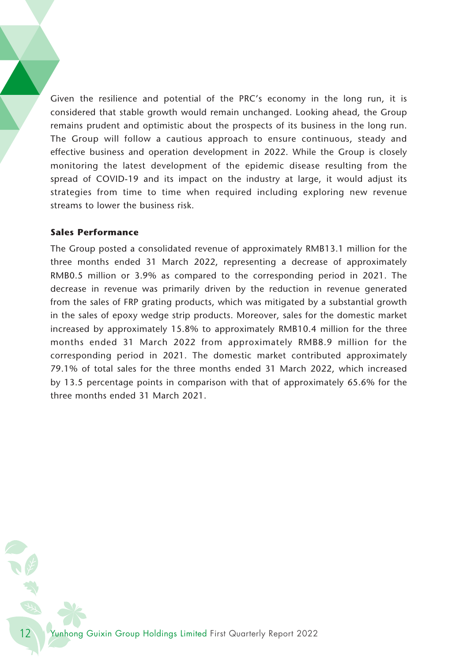Given the resilience and potential of the PRC's economy in the long run, it is considered that stable growth would remain unchanged. Looking ahead, the Group remains prudent and optimistic about the prospects of its business in the long run. The Group will follow a cautious approach to ensure continuous, steady and effective business and operation development in 2022. While the Group is closely monitoring the latest development of the epidemic disease resulting from the spread of COVID-19 and its impact on the industry at large, it would adjust its strategies from time to time when required including exploring new revenue streams to lower the business risk.

## **Sales Performance**

The Group posted a consolidated revenue of approximately RMB13.1 million for the three months ended 31 March 2022, representing a decrease of approximately RMB0.5 million or 3.9% as compared to the corresponding period in 2021. The decrease in revenue was primarily driven by the reduction in revenue generated from the sales of FRP grating products, which was mitigated by a substantial growth in the sales of epoxy wedge strip products. Moreover, sales for the domestic market increased by approximately 15.8% to approximately RMB10.4 million for the three months ended 31 March 2022 from approximately RMB8.9 million for the corresponding period in 2021. The domestic market contributed approximately 79.1% of total sales for the three months ended 31 March 2022, which increased by 13.5 percentage points in comparison with that of approximately 65.6% for the three months ended 31 March 2021.

12 Yunhong Guixin Group Holdings Limited First Quarterly Report 2022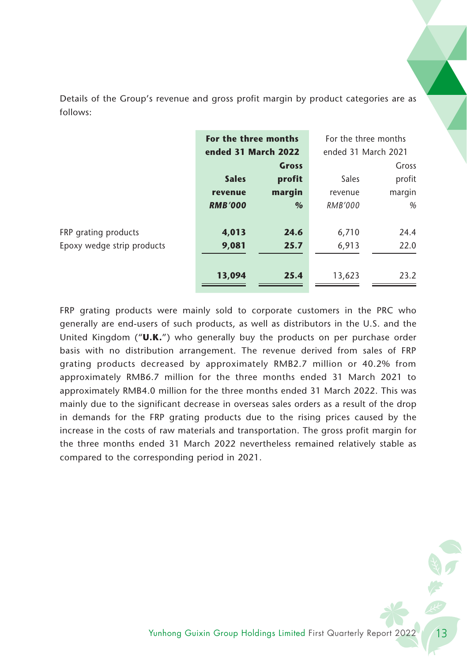Details of the Group's revenue and gross profit margin by product categories are as follows:

|                            | For the three months |               | For the three months |        |
|----------------------------|----------------------|---------------|----------------------|--------|
|                            | ended 31 March 2022  |               | ended 31 March 2021  |        |
|                            |                      | Gross         |                      | Gross  |
|                            | <b>Sales</b>         | profit        | Sales                | profit |
|                            | revenue              | margin        | revenue              | margin |
|                            | <b>RMB'000</b>       | $\frac{0}{0}$ | <b>RMB'000</b>       | %      |
|                            |                      |               |                      |        |
| FRP grating products       | 4,013                | 24.6          | 6,710                | 24.4   |
| Epoxy wedge strip products | 9,081                | 25.7          | 6,913                | 22.0   |
|                            |                      |               |                      |        |
|                            | 13,094               | 25.4          | 13,623               | 23.2   |

FRP grating products were mainly sold to corporate customers in the PRC who generally are end-users of such products, as well as distributors in the U.S. and the United Kingdom ("**U.K.**") who generally buy the products on per purchase order basis with no distribution arrangement. The revenue derived from sales of FRP grating products decreased by approximately RMB2.7 million or 40.2% from approximately RMB6.7 million for the three months ended 31 March 2021 to approximately RMB4.0 million for the three months ended 31 March 2022. This was mainly due to the significant decrease in overseas sales orders as a result of the drop in demands for the FRP grating products due to the rising prices caused by the increase in the costs of raw materials and transportation. The gross profit margin for the three months ended 31 March 2022 nevertheless remained relatively stable as compared to the corresponding period in 2021.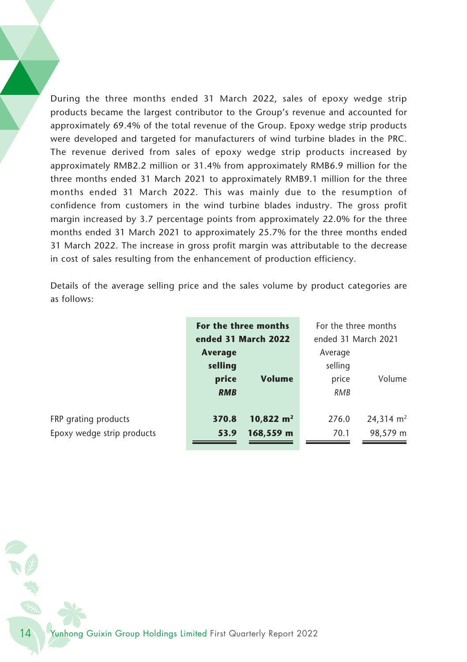During the three months ended 31 March 2022, sales of epoxy wedge strip products became the largest contributor to the Group's revenue and accounted for approximately 69.4% of the total revenue of the Group. Epoxy wedge strip products were developed and targeted for manufacturers of wind turbine blades in the PRC. The revenue derived from sales of epoxy wedge strip products increased by approximately RMB2.2 million or 31.4% from approximately RMB6.9 million for the three months ended 31 March 2021 to approximately RMB9.1 million for the three months ended 31 March 2022. This was mainly due to the resumption of confidence from customers in the wind turbine blades industry. The gross profit margin increased by 3.7 percentage points from approximately 22.0% for the three months ended 31 March 2021 to approximately 25.7% for the three months ended 31 March 2022. The increase in gross profit margin was attributable to the decrease in cost of sales resulting from the enhancement of production efficiency.

Details of the average selling price and the sales volume by product categories are as follows:

|       |            | For the three months     | For the three months |                      |  |
|-------|------------|--------------------------|----------------------|----------------------|--|
|       |            | ended 31 March 2022      | ended 31 March 2021  |                      |  |
|       | Average    |                          | Average              |                      |  |
|       | selling    |                          | selling              |                      |  |
|       | price      | <b>Volume</b>            | price                | Volume               |  |
|       | <b>RMB</b> |                          | RMB                  |                      |  |
|       |            |                          |                      |                      |  |
|       | 370.8      | $10,822 \; \mathrm{m}^2$ | 276.0                | $24,314 \text{ m}^2$ |  |
| ducts | 53.9       | 168,559 m                | 70.1                 | 98,579 m             |  |
|       |            |                          |                      |                      |  |

**FRP** grating products Epoxy wedge strip prod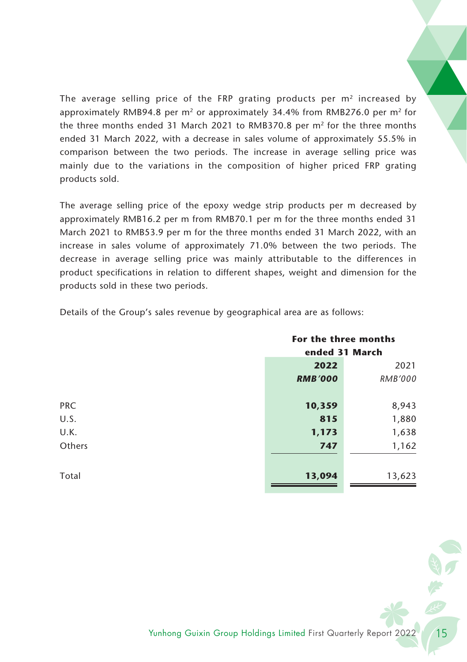The average selling price of the FRP grating products per  $m<sup>2</sup>$  increased by approximately RMB94.8 per  $m^2$  or approximately 34.4% from RMB276.0 per  $m^2$  for the three months ended 31 March 2021 to RMB370.8 per  $m<sup>2</sup>$  for the three months ended 31 March 2022, with a decrease in sales volume of approximately 55.5% in comparison between the two periods. The increase in average selling price was mainly due to the variations in the composition of higher priced FRP grating products sold.

The average selling price of the epoxy wedge strip products per m decreased by approximately RMB16.2 per m from RMB70.1 per m for the three months ended 31 March 2021 to RMB53.9 per m for the three months ended 31 March 2022, with an increase in sales volume of approximately 71.0% between the two periods. The decrease in average selling price was mainly attributable to the differences in product specifications in relation to different shapes, weight and dimension for the products sold in these two periods.

|            | For the three months |         |  |
|------------|----------------------|---------|--|
|            | ended 31 March       |         |  |
|            | 2022                 | 2021    |  |
|            | <b>RMB'000</b>       | RMB'000 |  |
|            |                      |         |  |
| <b>PRC</b> | 10,359               | 8,943   |  |
| U.S.       | 815                  | 1,880   |  |
| U.K.       | 1,173                | 1,638   |  |
| Others     | 747                  | 1,162   |  |
|            |                      |         |  |
| Total      | 13,094               | 13,623  |  |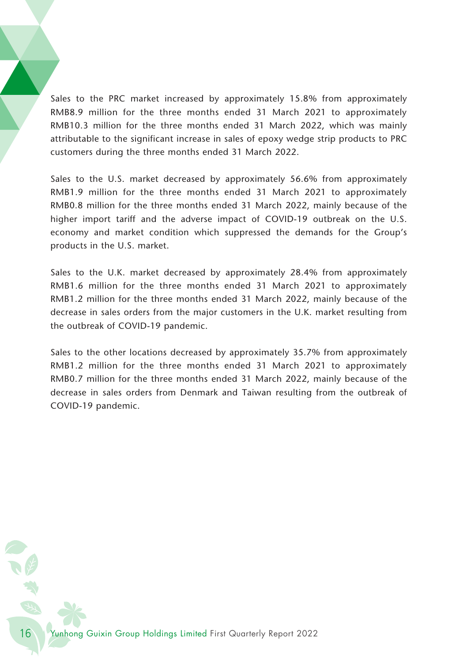Sales to the PRC market increased by approximately 15.8% from approximately RMB8.9 million for the three months ended 31 March 2021 to approximately RMB10.3 million for the three months ended 31 March 2022, which was mainly attributable to the significant increase in sales of epoxy wedge strip products to PRC customers during the three months ended 31 March 2022.

Sales to the U.S. market decreased by approximately 56.6% from approximately RMB1.9 million for the three months ended 31 March 2021 to approximately RMB0.8 million for the three months ended 31 March 2022, mainly because of the higher import tariff and the adverse impact of COVID-19 outbreak on the U.S. economy and market condition which suppressed the demands for the Group's products in the U.S. market.

Sales to the U.K. market decreased by approximately 28.4% from approximately RMB1.6 million for the three months ended 31 March 2021 to approximately RMB1.2 million for the three months ended 31 March 2022, mainly because of the decrease in sales orders from the major customers in the U.K. market resulting from the outbreak of COVID-19 pandemic.

Sales to the other locations decreased by approximately 35.7% from approximately RMB1.2 million for the three months ended 31 March 2021 to approximately RMB0.7 million for the three months ended 31 March 2022, mainly because of the decrease in sales orders from Denmark and Taiwan resulting from the outbreak of COVID-19 pandemic.

16 Yunhong Guixin Group Holdings Limited First Quarterly Report 2022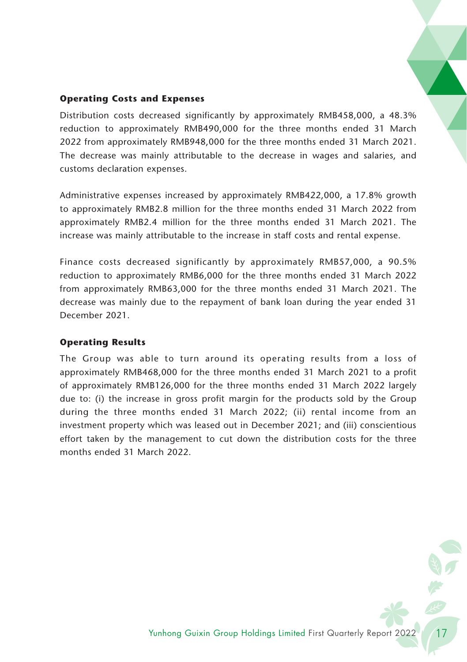## **Operating Costs and Expenses**

Distribution costs decreased significantly by approximately RMB458,000, a 48.3% reduction to approximately RMB490,000 for the three months ended 31 March 2022 from approximately RMB948,000 for the three months ended 31 March 2021. The decrease was mainly attributable to the decrease in wages and salaries, and customs declaration expenses.

Administrative expenses increased by approximately RMB422,000, a 17.8% growth to approximately RMB2.8 million for the three months ended 31 March 2022 from approximately RMB2.4 million for the three months ended 31 March 2021. The increase was mainly attributable to the increase in staff costs and rental expense.

Finance costs decreased significantly by approximately RMB57,000, a 90.5% reduction to approximately RMB6,000 for the three months ended 31 March 2022 from approximately RMB63,000 for the three months ended 31 March 2021. The decrease was mainly due to the repayment of bank loan during the year ended 31 December 2021.

## **Operating Results**

The Group was able to turn around its operating results from a loss of approximately RMB468,000 for the three months ended 31 March 2021 to a profit of approximately RMB126,000 for the three months ended 31 March 2022 largely due to: (i) the increase in gross profit margin for the products sold by the Group during the three months ended 31 March 2022; (ii) rental income from an investment property which was leased out in December 2021; and (iii) conscientious effort taken by the management to cut down the distribution costs for the three months ended 31 March 2022.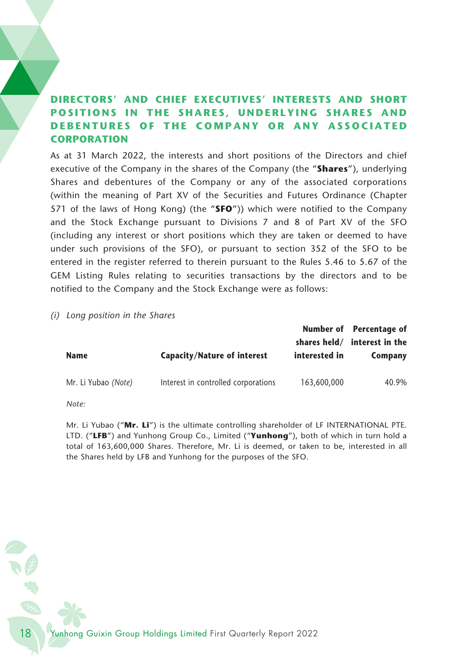# **DIRECTORS' AND CHIEF EXECUTIVES' INTERESTS AND SHORT POSITIONS IN THE SHARES, UNDERLYING SHARES AND DEBENTURES OF THE COMPANY OR ANY ASSOCIATED CORPORATION**

As at 31 March 2022, the interests and short positions of the Directors and chief executive of the Company in the shares of the Company (the "**Shares**"), underlying Shares and debentures of the Company or any of the associated corporations (within the meaning of Part XV of the Securities and Futures Ordinance (Chapter 571 of the laws of Hong Kong) (the "**SFO**")) which were notified to the Company and the Stock Exchange pursuant to Divisions 7 and 8 of Part XV of the SFO (including any interest or short positions which they are taken or deemed to have under such provisions of the SFO), or pursuant to section 352 of the SFO to be entered in the register referred to therein pursuant to the Rules 5.46 to 5.67 of the GEM Listing Rules relating to securities transactions by the directors and to be notified to the Company and the Stock Exchange were as follows:

*(i) Long position in the Shares*

| Name                | Capacity/Nature of interest         | shares held/<br>interested in | Number of Percentage of<br>interest in the<br>Company |
|---------------------|-------------------------------------|-------------------------------|-------------------------------------------------------|
| Mr. Li Yubao (Note) | Interest in controlled corporations | 163,600,000                   | 40.9%                                                 |

*Note:*

Mr. Li Yubao ("**Mr. Li**") is the ultimate controlling shareholder of LF INTERNATIONAL PTE. LTD. ("**LFB**") and Yunhong Group Co., Limited ("**Yunhong**"), both of which in turn hold a total of 163,600,000 Shares. Therefore, Mr. Li is deemed, or taken to be, interested in all the Shares held by LFB and Yunhong for the purposes of the SFO.

18 Yunhong Guixin Group Holdings Limited First Quarterly Report 2022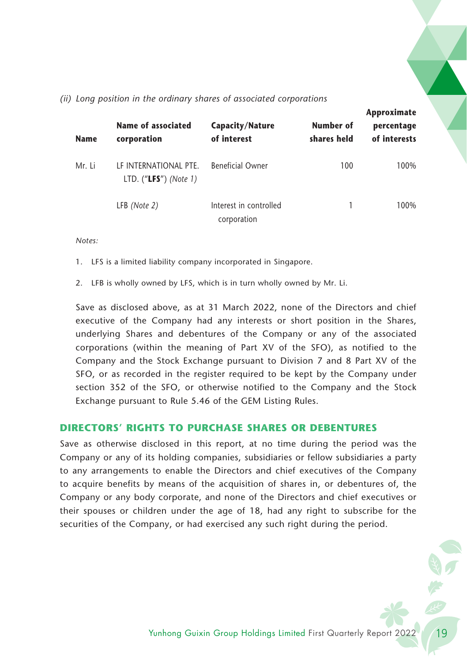| <b>Name</b> | Name of associated<br>corporation                | Capacity/Nature<br>of interest        | Number of<br>shares held | Approximate<br>percentage<br>of interests |
|-------------|--------------------------------------------------|---------------------------------------|--------------------------|-------------------------------------------|
| Mr. Li      | LE INTERNATIONAL PTE.<br>LTD. $("LFS")$ (Note 1) | <b>Beneficial Owner</b>               | 100                      | 100%                                      |
|             | LFB (Note 2)                                     | Interest in controlled<br>corporation |                          | 100%                                      |

### *(ii) Long position in the ordinary shares of associated corporations*

*Notes:*

1. LFS is a limited liability company incorporated in Singapore.

2. LFB is wholly owned by LFS, which is in turn wholly owned by Mr. Li.

Save as disclosed above, as at 31 March 2022, none of the Directors and chief executive of the Company had any interests or short position in the Shares, underlying Shares and debentures of the Company or any of the associated corporations (within the meaning of Part XV of the SFO), as notified to the Company and the Stock Exchange pursuant to Division 7 and 8 Part XV of the SFO, or as recorded in the register required to be kept by the Company under section 352 of the SFO, or otherwise notified to the Company and the Stock Exchange pursuant to Rule 5.46 of the GEM Listing Rules.

# **DIRECTORS' RIGHTS TO PURCHASE SHARES OR DEBENTURES**

Save as otherwise disclosed in this report, at no time during the period was the Company or any of its holding companies, subsidiaries or fellow subsidiaries a party to any arrangements to enable the Directors and chief executives of the Company to acquire benefits by means of the acquisition of shares in, or debentures of, the Company or any body corporate, and none of the Directors and chief executives or their spouses or children under the age of 18, had any right to subscribe for the securities of the Company, or had exercised any such right during the period.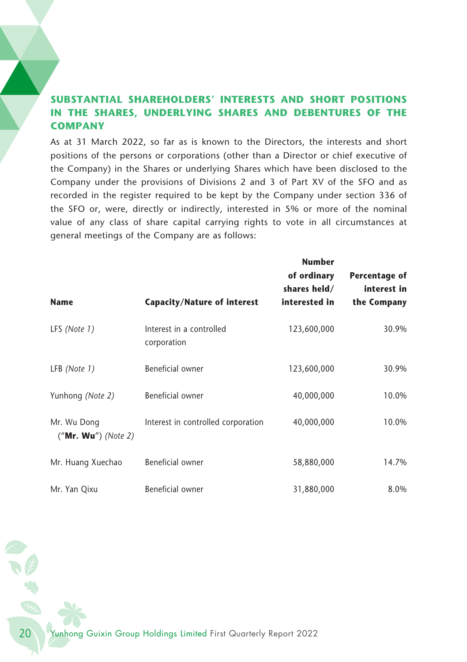# **SUBSTANTIAL SHAREHOLDERS' INTERESTS AND SHORT POSITIONS IN THE SHARES, UNDERLYING SHARES AND DEBENTURES OF THE COMPANY**

As at 31 March 2022, so far as is known to the Directors, the interests and short positions of the persons or corporations (other than a Director or chief executive of the Company) in the Shares or underlying Shares which have been disclosed to the Company under the provisions of Divisions 2 and 3 of Part XV of the SFO and as recorded in the register required to be kept by the Company under section 336 of the SFO or, were, directly or indirectly, interested in 5% or more of the nominal value of any class of share capital carrying rights to vote in all circumstances at general meetings of the Company are as follows:

|                                      |                                         | <b>Number</b>                                |                                             |
|--------------------------------------|-----------------------------------------|----------------------------------------------|---------------------------------------------|
| <b>Name</b>                          | <b>Capacity/Nature of interest</b>      | of ordinary<br>shares held/<br>interested in | Percentage of<br>interest in<br>the Company |
| LFS (Note 1)                         | Interest in a controlled<br>corporation | 123,600,000                                  | 30.9%                                       |
| LFB (Note 1)                         | Beneficial owner                        | 123,600,000                                  | 30.9%                                       |
| Yunhong (Note 2)                     | Beneficial owner                        | 40,000,000                                   | 10.0%                                       |
| Mr. Wu Dong<br>$("Mr. Wu")$ (Note 2) | Interest in controlled corporation      | 40,000,000                                   | 10.0%                                       |
| Mr. Huang Xuechao                    | Beneficial owner                        | 58,880,000                                   | 14.7%                                       |
| Mr. Yan Qixu                         | Beneficial owner                        | 31,880,000                                   | 8.0%                                        |

20 Yunhong Guixin Group Holdings Limited First Quarterly Report 2022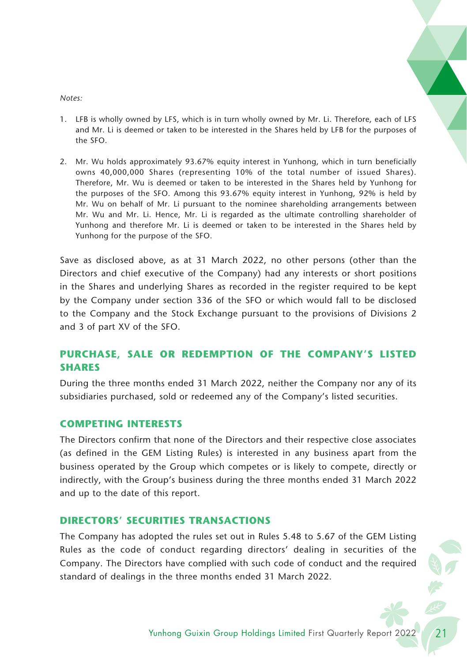#### *Notes:*

- 1. LFB is wholly owned by LFS, which is in turn wholly owned by Mr. Li. Therefore, each of LFS and Mr. Li is deemed or taken to be interested in the Shares held by LFB for the purposes of the SFO.
- 2. Mr. Wu holds approximately 93.67% equity interest in Yunhong, which in turn beneficially owns 40,000,000 Shares (representing 10% of the total number of issued Shares). Therefore, Mr. Wu is deemed or taken to be interested in the Shares held by Yunhong for the purposes of the SFO. Among this 93.67% equity interest in Yunhong, 92% is held by Mr. Wu on behalf of Mr. Li pursuant to the nominee shareholding arrangements between Mr. Wu and Mr. Li. Hence, Mr. Li is regarded as the ultimate controlling shareholder of Yunhong and therefore Mr. Li is deemed or taken to be interested in the Shares held by Yunhong for the purpose of the SFO.

Save as disclosed above, as at 31 March 2022, no other persons (other than the Directors and chief executive of the Company) had any interests or short positions in the Shares and underlying Shares as recorded in the register required to be kept by the Company under section 336 of the SFO or which would fall to be disclosed to the Company and the Stock Exchange pursuant to the provisions of Divisions 2 and 3 of part XV of the SFO.

# **PURCHASE, SALE OR REDEMPTION OF THE COMPANY'S LISTED SHARES**

During the three months ended 31 March 2022, neither the Company nor any of its subsidiaries purchased, sold or redeemed any of the Company's listed securities.

## **COMPETING INTERESTS**

The Directors confirm that none of the Directors and their respective close associates (as defined in the GEM Listing Rules) is interested in any business apart from the business operated by the Group which competes or is likely to compete, directly or indirectly, with the Group's business during the three months ended 31 March 2022 and up to the date of this report.

# **DIRECTORS' SECURITIES TRANSACTIONS**

The Company has adopted the rules set out in Rules 5.48 to 5.67 of the GEM Listing Rules as the code of conduct regarding directors' dealing in securities of the Company. The Directors have complied with such code of conduct and the required standard of dealings in the three months ended 31 March 2022.